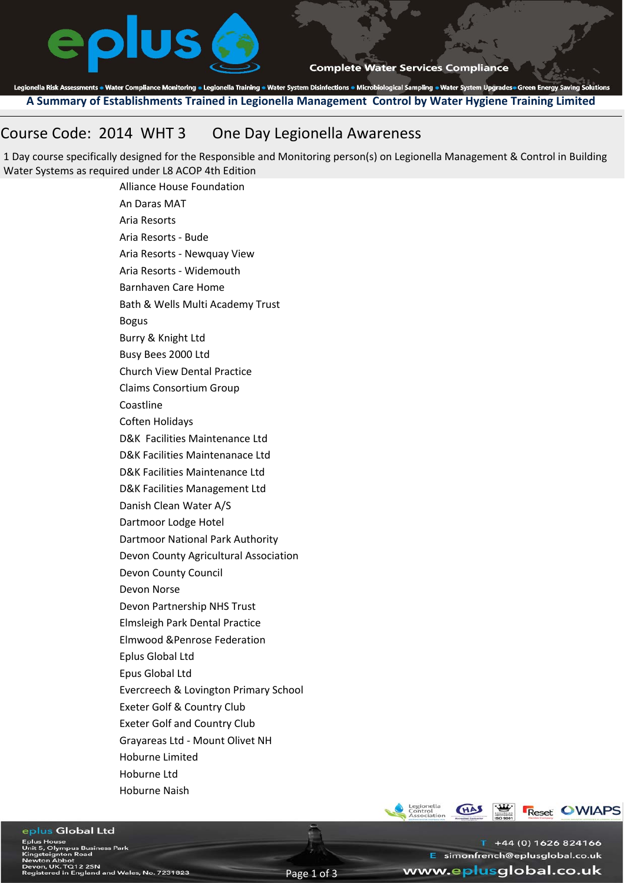

**Complete Water Services Compliance** 

Legionella Risk Assessments . Water Compliance Monitoring . Legionella Training . Water System Disinfections . Microbiological Sampling . Water System Upgrades . Green Energy Saving Solutions **A Summary of Establishments Trained in Legionella Management Control by Water Hygiene Training Limited**

# Course Code: 2014 WHT 3 One Day Legionella Awareness

1 Day course specifically designed for the Responsible and Monitoring person(s) on Legionella Management & Control in Building Water Systems as required under L8 ACOP 4th Edition

Alliance House Foundation An Daras MAT Aria Resorts Aria Resorts ‐ Bude Aria Resorts ‐ Newquay View Aria Resorts ‐ Widemouth Barnhaven Care Home Bath & Wells Multi Academy Trust Bogus Burry & Knight Ltd Busy Bees 2000 Ltd Church View Dental Practice Claims Consortium Group Coastline Coften Holidays D&K Facilities Maintenance Ltd D&K Facilities Maintenanace Ltd D&K Facilities Maintenance Ltd D&K Facilities Management Ltd Danish Clean Water A/S Dartmoor Lodge Hotel Dartmoor National Park Authority Devon County Agricultural Association Devon County Council Devon Norse Devon Partnership NHS Trust Elmsleigh Park Dental Practice Elmwood &Penrose Federation Eplus Global Ltd Epus Global Ltd Evercreech & Lovington Primary School Exeter Golf & Country Club Exeter Golf and Country Club Grayareas Ltd ‐ Mount Olivet NH Hoburne Limited Hoburne Ltd Hoburne Naish



www.eplusglobal.co.uk

E simonfrench@eplusglobal.co.uk

 $T + 44(0) 1626 824166$ 

## eplus Global Ltd

use<br>lympus Business Park<br>Inton Road mton noad<br>Kbbot<br>K. TQ12 2SN<br>d in England and Wales, No. 7231823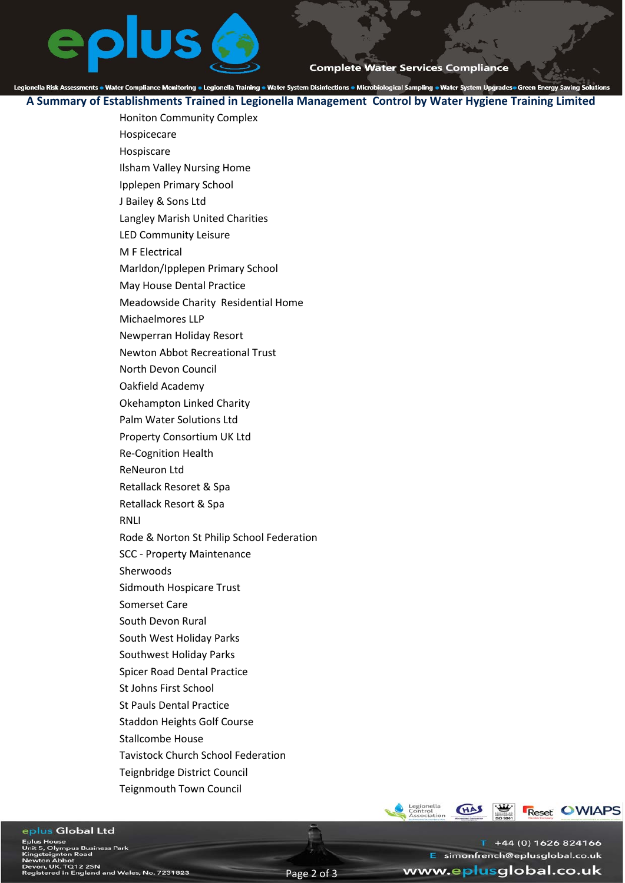

**Complete Water Services Compliance** 

Legionella Risk Assessments . Water Compliance Monitoring . Legionella Training . Water System Disinfections . Microbiological Sampling . Water System Upgrades . Green Energy Saving Solutions

**A Summary of Establishments Trained in Legionella Management Control by Water Hygiene Training Limited**

Honiton Community Complex

- Hospicecare Hospiscare
- Ilsham Valley Nursing Home
- Ipplepen Primary School
- J Bailey & Sons Ltd
- Langley Marish United Charities
- LED Community Leisure
- M F Electrical
- Marldon/Ipplepen Primary School
- May House Dental Practice
- Meadowside Charity Residential Home
- Michaelmores LLP
- Newperran Holiday Resort
- Newton Abbot Recreational Trust
- North Devon Council
- Oakfield Academy
- Okehampton Linked Charity
- Palm Water Solutions Ltd
- Property Consortium UK Ltd
- Re‐Cognition Health
- ReNeuron Ltd
- Retallack Resoret & Spa
- Retallack Resort & Spa
- RNLI
- Rode & Norton St Philip School Federation
- SCC ‐ Property Maintenance
- Sherwoods
- Sidmouth Hospicare Trust
- Somerset Care
- South Devon Rural
- South West Holiday Parks
- Southwest Holiday Parks
- Spicer Road Dental Practice
- St Johns First School
- St Pauls Dental Practice
- Staddon Heights Golf Course
- Stallcombe House
- Tavistock Church School Federation
- Teignbridge District Council
- Teignmouth Town Council

**CHAS** 

**Reset OWIAPS**